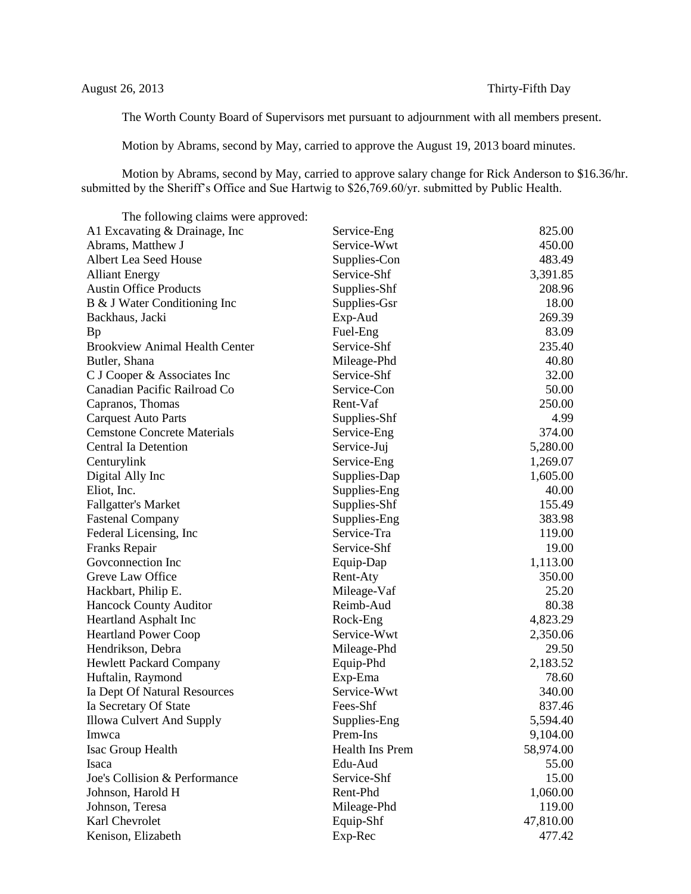The Worth County Board of Supervisors met pursuant to adjournment with all members present.

Motion by Abrams, second by May, carried to approve the August 19, 2013 board minutes.

Motion by Abrams, second by May, carried to approve salary change for Rick Anderson to \$16.36/hr. submitted by the Sheriff's Office and Sue Hartwig to \$26,769.60/yr. submitted by Public Health.

| The following claims were approved:   |                 |           |
|---------------------------------------|-----------------|-----------|
| A1 Excavating & Drainage, Inc         | Service-Eng     | 825.00    |
| Abrams, Matthew J                     | Service-Wwt     | 450.00    |
| Albert Lea Seed House                 | Supplies-Con    | 483.49    |
| <b>Alliant Energy</b>                 | Service-Shf     | 3,391.85  |
| <b>Austin Office Products</b>         | Supplies-Shf    | 208.96    |
| B & J Water Conditioning Inc          | Supplies-Gsr    | 18.00     |
| Backhaus, Jacki                       | Exp-Aud         | 269.39    |
| <b>Bp</b>                             | Fuel-Eng        | 83.09     |
| <b>Brookview Animal Health Center</b> | Service-Shf     | 235.40    |
| Butler, Shana                         | Mileage-Phd     | 40.80     |
| C J Cooper & Associates Inc           | Service-Shf     | 32.00     |
| Canadian Pacific Railroad Co          | Service-Con     | 50.00     |
| Capranos, Thomas                      | Rent-Vaf        | 250.00    |
| <b>Carquest Auto Parts</b>            | Supplies-Shf    | 4.99      |
| <b>Cemstone Concrete Materials</b>    | Service-Eng     | 374.00    |
| <b>Central Ia Detention</b>           | Service-Juj     | 5,280.00  |
| Centurylink                           | Service-Eng     | 1,269.07  |
| Digital Ally Inc                      | Supplies-Dap    | 1,605.00  |
| Eliot, Inc.                           | Supplies-Eng    | 40.00     |
| <b>Fallgatter's Market</b>            | Supplies-Shf    | 155.49    |
| <b>Fastenal Company</b>               | Supplies-Eng    | 383.98    |
| Federal Licensing, Inc.               | Service-Tra     | 119.00    |
| Franks Repair                         | Service-Shf     | 19.00     |
| Goveonnection Inc                     | Equip-Dap       | 1,113.00  |
| Greve Law Office                      | Rent-Aty        | 350.00    |
| Hackbart, Philip E.                   | Mileage-Vaf     | 25.20     |
| <b>Hancock County Auditor</b>         | Reimb-Aud       | 80.38     |
| Heartland Asphalt Inc                 | Rock-Eng        | 4,823.29  |
| <b>Heartland Power Coop</b>           | Service-Wwt     | 2,350.06  |
| Hendrikson, Debra                     | Mileage-Phd     | 29.50     |
| <b>Hewlett Packard Company</b>        | Equip-Phd       | 2,183.52  |
| Huftalin, Raymond                     | Exp-Ema         | 78.60     |
| Ia Dept Of Natural Resources          | Service-Wwt     | 340.00    |
| Ia Secretary Of State                 | Fees-Shf        | 837.46    |
| Illowa Culvert And Supply             | Supplies-Eng    | 5,594.40  |
| Imwca                                 | Prem-Ins        | 9,104.00  |
| Isac Group Health                     | Health Ins Prem | 58,974.00 |
| Isaca                                 | Edu-Aud         | 55.00     |
| Joe's Collision & Performance         | Service-Shf     | 15.00     |
| Johnson, Harold H                     | Rent-Phd        | 1,060.00  |
| Johnson, Teresa                       | Mileage-Phd     | 119.00    |
| Karl Chevrolet                        | Equip-Shf       | 47,810.00 |
| Kenison, Elizabeth                    | Exp-Rec         | 477.42    |